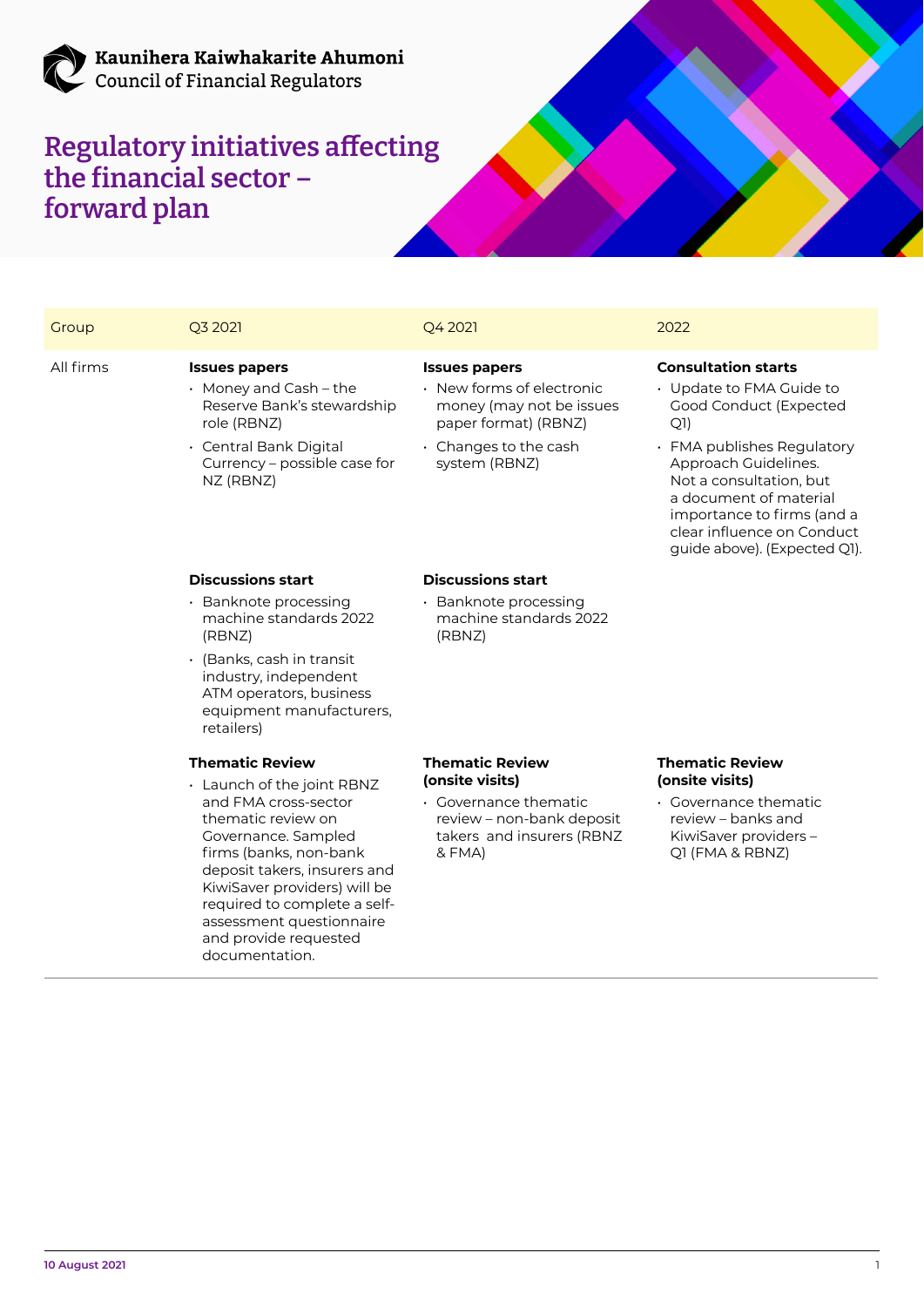

### Kaunihera Kaiwhakarite Ahumoni **Council of Financial Regulators**

# **Regulatory initiatives affecting the financial sector – forward plan**

assessment questionnaire and provide requested documentation.



All firms **Issues papers** Reserve Bank's stewardship role (RBNZ) • Central Bank Digital Currency – possible case for NZ (RBNZ) money (may not be issues paper format) (RBNZ) • Changes to the cash system (RBNZ) Good Conduct (Expected Q1) • FMA publishes Regulatory Approach Guidelines. Not a consultation, but a document of material importance to firms (and a clear influence on Conduct guide above). (Expected Q1). **Discussions start** • Banknote processing machine standards 2022 (RBNZ) • (Banks, cash in transit industry, independent ATM operators, business equipment manufacturers, retailers) **Discussions start** • Banknote processing machine standards 2022 (RBNZ) **Thematic Review** • Launch of the joint RBNZ and FMA cross-sector thematic review on Governance. Sampled firms (banks, non-bank deposit takers, insurers and KiwiSaver providers) will be required to complete a self-**Thematic Review (onsite visits)** • Governance thematic review – non-bank deposit takers and insurers (RBNZ & FMA) **Thematic Review (onsite visits)** Governance thematic review – banks and KiwiSaver providers – Q1 (FMA & RBNZ)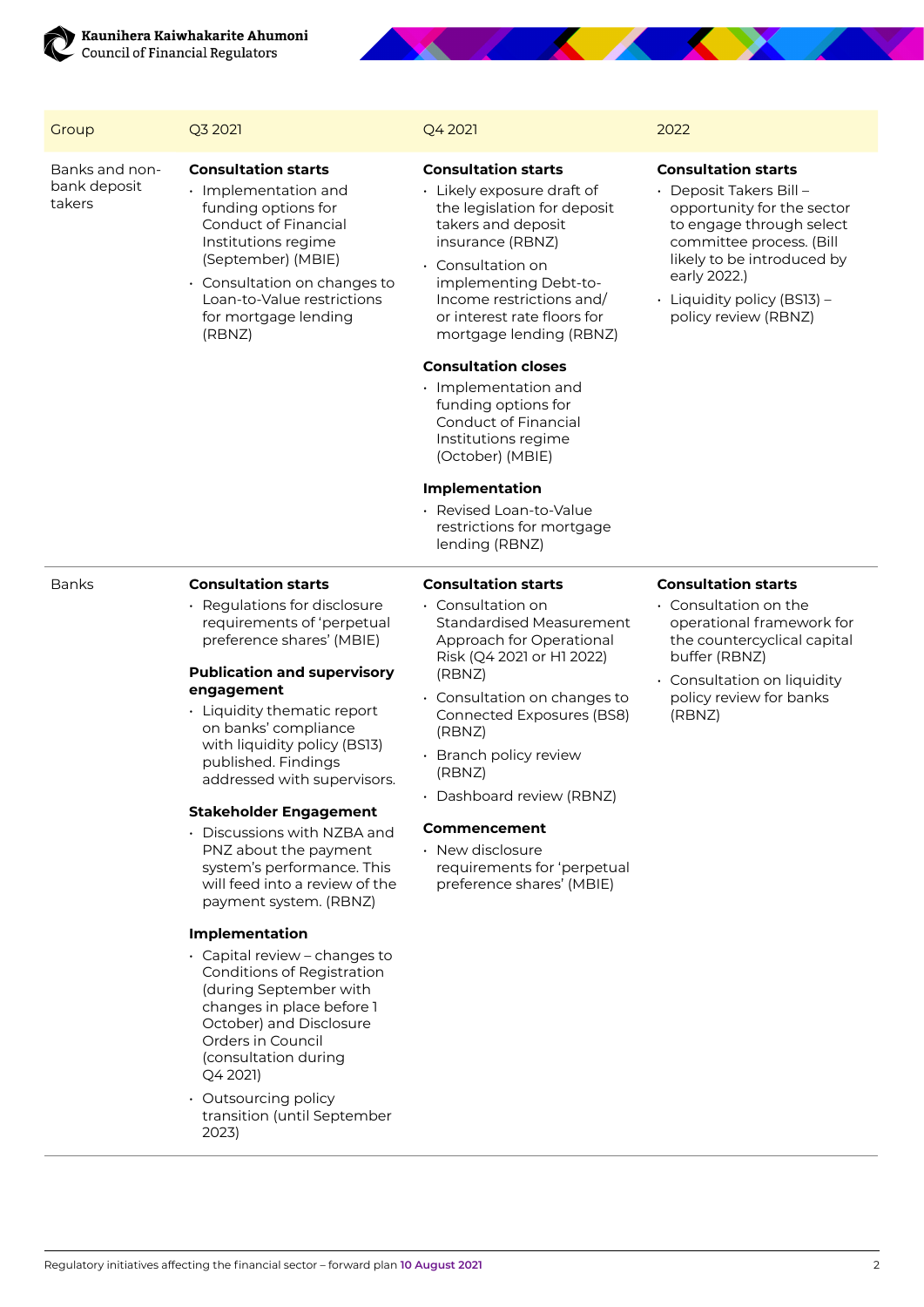

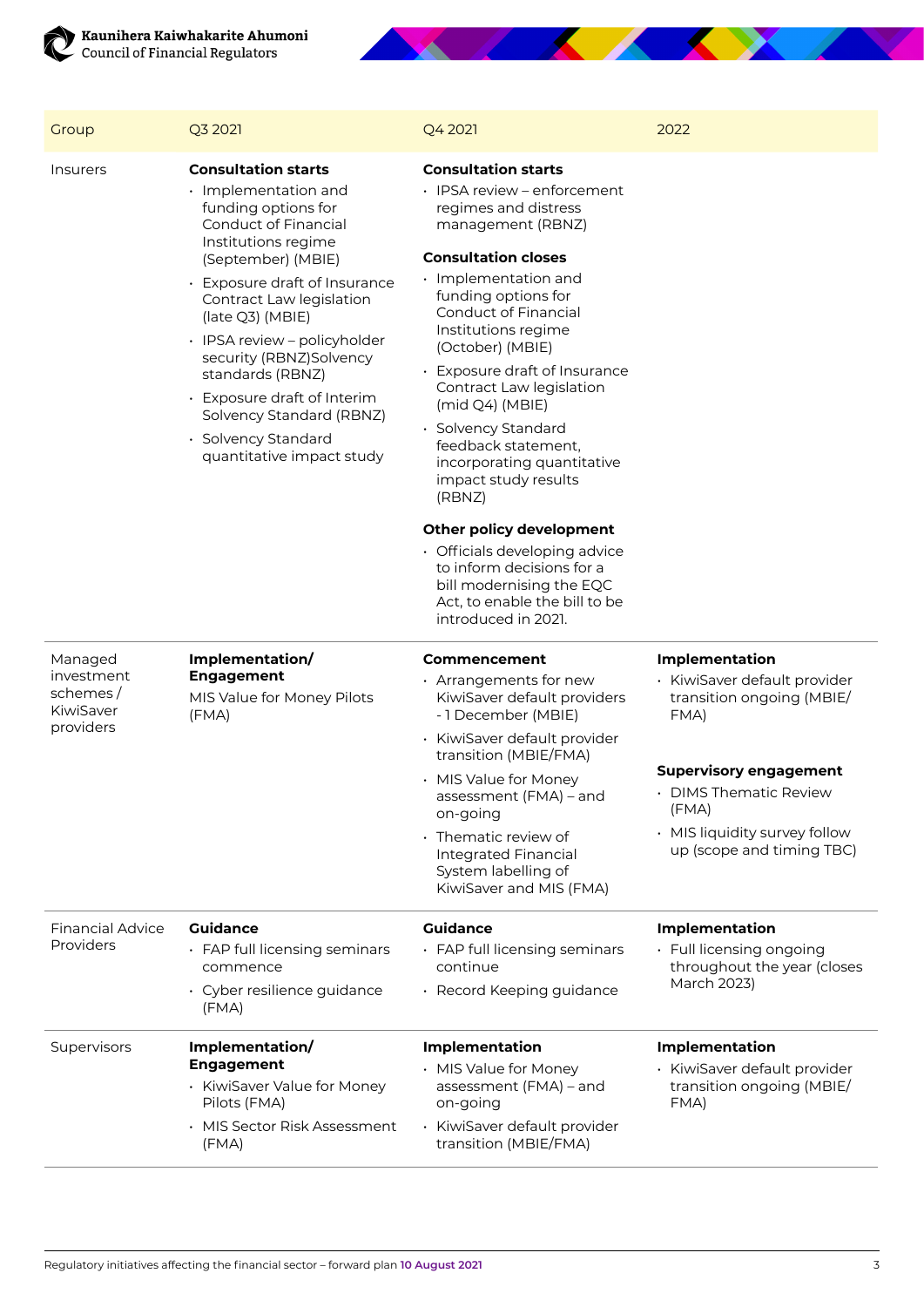



| Group                                                       | Q3 2021                                                                                                                                                                                                                                                                                                                                                                                                                             | Q4 2021                                                                                                                                                                                                                                                                                                                                                                                                                                                                                                                                                                                                                                         | 2022                                                                                                                                                                                                 |
|-------------------------------------------------------------|-------------------------------------------------------------------------------------------------------------------------------------------------------------------------------------------------------------------------------------------------------------------------------------------------------------------------------------------------------------------------------------------------------------------------------------|-------------------------------------------------------------------------------------------------------------------------------------------------------------------------------------------------------------------------------------------------------------------------------------------------------------------------------------------------------------------------------------------------------------------------------------------------------------------------------------------------------------------------------------------------------------------------------------------------------------------------------------------------|------------------------------------------------------------------------------------------------------------------------------------------------------------------------------------------------------|
| <i><u><b>Insurers</b></u></i>                               | <b>Consultation starts</b><br>$\cdot$ Implementation and<br>funding options for<br>Conduct of Financial<br>Institutions regime<br>(September) (MBIE)<br>• Exposure draft of Insurance<br>Contract Law legislation<br>(late Q3) (MBIE)<br>· IPSA review - policyholder<br>security (RBNZ)Solvency<br>standards (RBNZ)<br>• Exposure draft of Interim<br>Solvency Standard (RBNZ)<br>· Solvency Standard<br>quantitative impact study | <b>Consultation starts</b><br>· IPSA review – enforcement<br>regimes and distress<br>management (RBNZ)<br><b>Consultation closes</b><br>$\cdot$ Implementation and<br>funding options for<br><b>Conduct of Financial</b><br>Institutions regime<br>(October) (MBIE)<br>• Exposure draft of Insurance<br>Contract Law legislation<br>(mid Q4) (MBIE)<br>· Solvency Standard<br>feedback statement,<br>incorporating quantitative<br>impact study results<br>(RBNZ)<br>Other policy development<br>• Officials developing advice<br>to inform decisions for a<br>bill modernising the EQC<br>Act, to enable the bill to be<br>introduced in 2021. |                                                                                                                                                                                                      |
| Managed<br>investment<br>schemes/<br>KiwiSaver<br>providers | Implementation/<br><b>Engagement</b><br>MIS Value for Money Pilots<br>(FMA)                                                                                                                                                                                                                                                                                                                                                         | Commencement<br>· Arrangements for new<br>KiwiSaver default providers<br>-1 December (MBIE)<br>• KiwiSaver default provider<br>transition (MBIE/FMA)<br>• MIS Value for Money<br>assessment (FMA) - and<br>on-going<br>• Thematic review of                                                                                                                                                                                                                                                                                                                                                                                                     | <b>Implementation</b><br>· KiwiSaver default provider<br>transition ongoing (MBIE/<br>FMA)<br><b>Supervisory engagement</b><br><b>DIMS Thematic Review</b><br>(FMA)<br>• MIS liquidity survey follow |
|                                                             |                                                                                                                                                                                                                                                                                                                                                                                                                                     | <b>Integrated Financial</b><br>System labelling of<br>KiwiSaver and MIS (FMA)                                                                                                                                                                                                                                                                                                                                                                                                                                                                                                                                                                   | up (scope and timing TBC)                                                                                                                                                                            |
| <b>Financial Advice</b><br>Providers                        | <b>Guidance</b><br>• FAP full licensing seminars<br>commence<br>• Cyber resilience guidance<br>(FMA)                                                                                                                                                                                                                                                                                                                                | <b>Guidance</b><br>· FAP full licensing seminars<br>continue<br>· Record Keeping guidance                                                                                                                                                                                                                                                                                                                                                                                                                                                                                                                                                       | Implementation<br>· Full licensing ongoing<br>throughout the year (closes<br>March 2023)                                                                                                             |